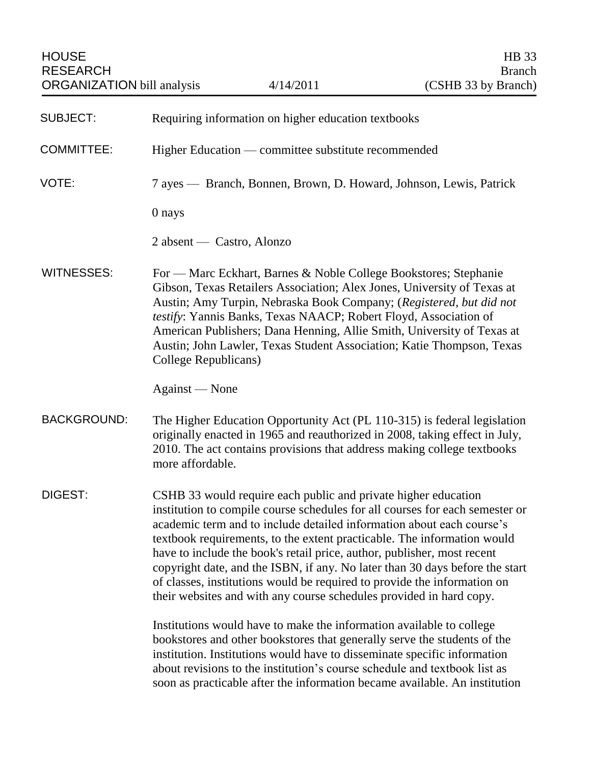| <b>SUBJECT:</b>    | Requiring information on higher education textbooks                                                                                                                                                                                                                                                                                                                                                                                                                                                                                                                                                                                                                                      |
|--------------------|------------------------------------------------------------------------------------------------------------------------------------------------------------------------------------------------------------------------------------------------------------------------------------------------------------------------------------------------------------------------------------------------------------------------------------------------------------------------------------------------------------------------------------------------------------------------------------------------------------------------------------------------------------------------------------------|
| <b>COMMITTEE:</b>  | Higher Education — committee substitute recommended                                                                                                                                                                                                                                                                                                                                                                                                                                                                                                                                                                                                                                      |
| VOTE:              | 7 ayes — Branch, Bonnen, Brown, D. Howard, Johnson, Lewis, Patrick                                                                                                                                                                                                                                                                                                                                                                                                                                                                                                                                                                                                                       |
|                    | 0 nays                                                                                                                                                                                                                                                                                                                                                                                                                                                                                                                                                                                                                                                                                   |
|                    | 2 absent — Castro, Alonzo                                                                                                                                                                                                                                                                                                                                                                                                                                                                                                                                                                                                                                                                |
| <b>WITNESSES:</b>  | For — Marc Eckhart, Barnes & Noble College Bookstores; Stephanie<br>Gibson, Texas Retailers Association; Alex Jones, University of Texas at<br>Austin; Amy Turpin, Nebraska Book Company; (Registered, but did not<br>testify: Yannis Banks, Texas NAACP; Robert Floyd, Association of<br>American Publishers; Dana Henning, Allie Smith, University of Texas at<br>Austin; John Lawler, Texas Student Association; Katie Thompson, Texas<br>College Republicans)                                                                                                                                                                                                                        |
|                    | Against — None                                                                                                                                                                                                                                                                                                                                                                                                                                                                                                                                                                                                                                                                           |
| <b>BACKGROUND:</b> | The Higher Education Opportunity Act (PL 110-315) is federal legislation<br>originally enacted in 1965 and reauthorized in 2008, taking effect in July,<br>2010. The act contains provisions that address making college textbooks<br>more affordable.                                                                                                                                                                                                                                                                                                                                                                                                                                   |
| DIGEST:            | CSHB 33 would require each public and private higher education<br>institution to compile course schedules for all courses for each semester or<br>academic term and to include detailed information about each course's<br>textbook requirements, to the extent practicable. The information would<br>have to include the book's retail price, author, publisher, most recent<br>copyright date, and the ISBN, if any. No later than 30 days before the start<br>of classes, institutions would be required to provide the information on<br>their websites and with any course schedules provided in hard copy.<br>Institutions would have to make the information available to college |
|                    | bookstores and other bookstores that generally serve the students of the<br>institution. Institutions would have to disseminate specific information<br>about revisions to the institution's course schedule and textbook list as<br>soon as practicable after the information became available. An institution                                                                                                                                                                                                                                                                                                                                                                          |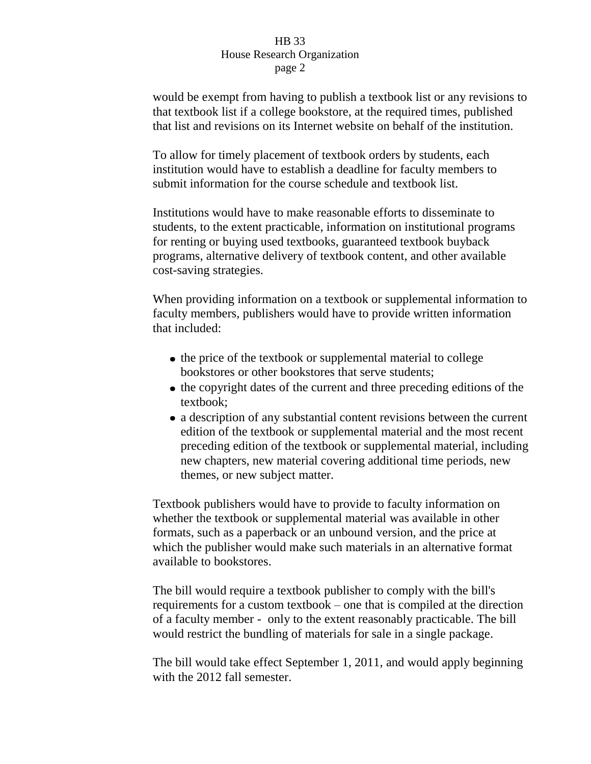## HB 33 House Research Organization page 2

would be exempt from having to publish a textbook list or any revisions to that textbook list if a college bookstore, at the required times, published that list and revisions on its Internet website on behalf of the institution.

To allow for timely placement of textbook orders by students, each institution would have to establish a deadline for faculty members to submit information for the course schedule and textbook list.

Institutions would have to make reasonable efforts to disseminate to students, to the extent practicable, information on institutional programs for renting or buying used textbooks, guaranteed textbook buyback programs, alternative delivery of textbook content, and other available cost-saving strategies.

When providing information on a textbook or supplemental information to faculty members, publishers would have to provide written information that included:

- the price of the textbook or supplemental material to college bookstores or other bookstores that serve students;
- the copyright dates of the current and three preceding editions of the textbook;
- a description of any substantial content revisions between the current edition of the textbook or supplemental material and the most recent preceding edition of the textbook or supplemental material, including new chapters, new material covering additional time periods, new themes, or new subject matter.

Textbook publishers would have to provide to faculty information on whether the textbook or supplemental material was available in other formats, such as a paperback or an unbound version, and the price at which the publisher would make such materials in an alternative format available to bookstores.

The bill would require a textbook publisher to comply with the bill's requirements for a custom textbook – one that is compiled at the direction of a faculty member - only to the extent reasonably practicable. The bill would restrict the bundling of materials for sale in a single package.

The bill would take effect September 1, 2011, and would apply beginning with the 2012 fall semester.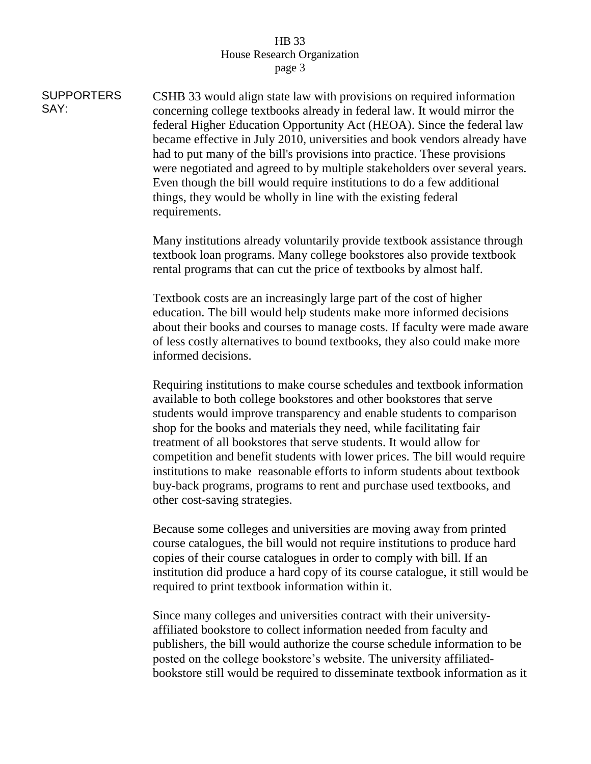## HB 33 House Research Organization page 3

**SUPPORTERS** SAY: CSHB 33 would align state law with provisions on required information concerning college textbooks already in federal law. It would mirror the federal Higher Education Opportunity Act (HEOA). Since the federal law became effective in July 2010, universities and book vendors already have had to put many of the bill's provisions into practice. These provisions were negotiated and agreed to by multiple stakeholders over several years. Even though the bill would require institutions to do a few additional things, they would be wholly in line with the existing federal requirements.

> Many institutions already voluntarily provide textbook assistance through textbook loan programs. Many college bookstores also provide textbook rental programs that can cut the price of textbooks by almost half.

Textbook costs are an increasingly large part of the cost of higher education. The bill would help students make more informed decisions about their books and courses to manage costs. If faculty were made aware of less costly alternatives to bound textbooks, they also could make more informed decisions.

Requiring institutions to make course schedules and textbook information available to both college bookstores and other bookstores that serve students would improve transparency and enable students to comparison shop for the books and materials they need, while facilitating fair treatment of all bookstores that serve students. It would allow for competition and benefit students with lower prices. The bill would require institutions to make reasonable efforts to inform students about textbook buy-back programs, programs to rent and purchase used textbooks, and other cost-saving strategies.

Because some colleges and universities are moving away from printed course catalogues, the bill would not require institutions to produce hard copies of their course catalogues in order to comply with bill. If an institution did produce a hard copy of its course catalogue, it still would be required to print textbook information within it.

Since many colleges and universities contract with their universityaffiliated bookstore to collect information needed from faculty and publishers, the bill would authorize the course schedule information to be posted on the college bookstore's website. The university affiliatedbookstore still would be required to disseminate textbook information as it